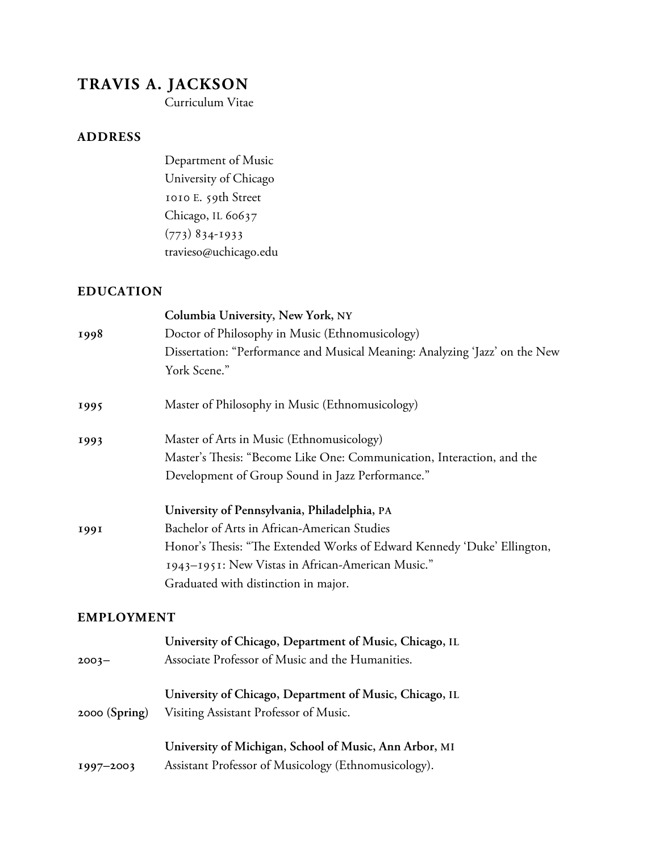# **TRAVIS A. JACKSON**

Curriculum Vitae

#### **ADDRESS**

Department of Music University of Chicago 1010 E. 59th Street Chicago, IL 60637  $(773)$  834-1933 travieso@uchicago.edu

#### **EDUCATION**

|                   | Columbia University, New York, NY                                           |
|-------------------|-----------------------------------------------------------------------------|
| 1998              | Doctor of Philosophy in Music (Ethnomusicology)                             |
|                   | Dissertation: "Performance and Musical Meaning: Analyzing 'Jazz' on the New |
|                   | York Scene."                                                                |
| 1995              | Master of Philosophy in Music (Ethnomusicology)                             |
| 1993              | Master of Arts in Music (Ethnomusicology)                                   |
|                   | Master's Thesis: "Become Like One: Communication, Interaction, and the      |
|                   | Development of Group Sound in Jazz Performance."                            |
|                   | University of Pennsylvania, Philadelphia, PA                                |
| 1991              | Bachelor of Arts in African-American Studies                                |
|                   | Honor's Thesis: "The Extended Works of Edward Kennedy 'Duke' Ellington,     |
|                   | 1943-1951: New Vistas in African-American Music."                           |
|                   | Graduated with distinction in major.                                        |
| <b>EMPLOYMENT</b> |                                                                             |
|                   | University of Chicago, Department of Music, Chicago, IL                     |
| $2003 -$          | Associate Professor of Music and the Humanities.                            |
|                   | University of Chicago, Department of Music, Chicago, IL                     |
| $2000$ (Spring)   | Visiting Assistant Professor of Music.                                      |
|                   | University of Michigan, School of Music, Ann Arbor, MI                      |
| 1997-2003         | Assistant Professor of Musicology (Ethnomusicology).                        |
|                   |                                                                             |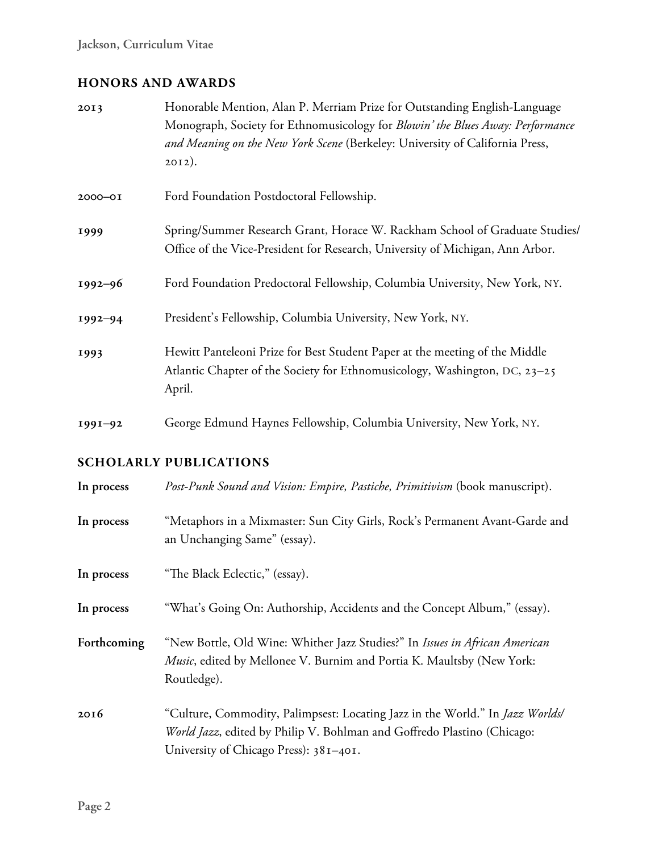### **HONORS AND AWARDS**

| 2013        | Honorable Mention, Alan P. Merriam Prize for Outstanding English-Language<br>Monograph, Society for Ethnomusicology for Blowin' the Blues Away: Performance<br>and Meaning on the New York Scene (Berkeley: University of California Press,<br>$2012$ ). |
|-------------|----------------------------------------------------------------------------------------------------------------------------------------------------------------------------------------------------------------------------------------------------------|
| $2000 - 01$ | Ford Foundation Postdoctoral Fellowship.                                                                                                                                                                                                                 |
| 1999        | Spring/Summer Research Grant, Horace W. Rackham School of Graduate Studies/<br>Office of the Vice-President for Research, University of Michigan, Ann Arbor.                                                                                             |
| $1992 - 96$ | Ford Foundation Predoctoral Fellowship, Columbia University, New York, NY.                                                                                                                                                                               |
| $1992 - 94$ | President's Fellowship, Columbia University, New York, NY.                                                                                                                                                                                               |
| 1993        | Hewitt Panteleoni Prize for Best Student Paper at the meeting of the Middle<br>Atlantic Chapter of the Society for Ethnomusicology, Washington, DC, 23–25<br>April.                                                                                      |
| $1991 - 92$ | George Edmund Haynes Fellowship, Columbia University, New York, NY.                                                                                                                                                                                      |

## **SCHOLARLY PUBLICATIONS**

| In process  | Post-Punk Sound and Vision: Empire, Pastiche, Primitivism (book manuscript).                                                                                                                               |
|-------------|------------------------------------------------------------------------------------------------------------------------------------------------------------------------------------------------------------|
| In process  | "Metaphors in a Mixmaster: Sun City Girls, Rock's Permanent Avant-Garde and<br>an Unchanging Same" (essay).                                                                                                |
| In process  | "The Black Eclectic," (essay).                                                                                                                                                                             |
| In process  | "What's Going On: Authorship, Accidents and the Concept Album," (essay).                                                                                                                                   |
| Forthcoming | "New Bottle, Old Wine: Whither Jazz Studies?" In Issues in African American<br>Music, edited by Mellonee V. Burnim and Portia K. Maultsby (New York:<br>Routledge).                                        |
| 2016        | "Culture, Commodity, Palimpsest: Locating Jazz in the World." In <i>Jazz Worlds</i> /<br>World Jazz, edited by Philip V. Bohlman and Goffredo Plastino (Chicago:<br>University of Chicago Press): 381-401. |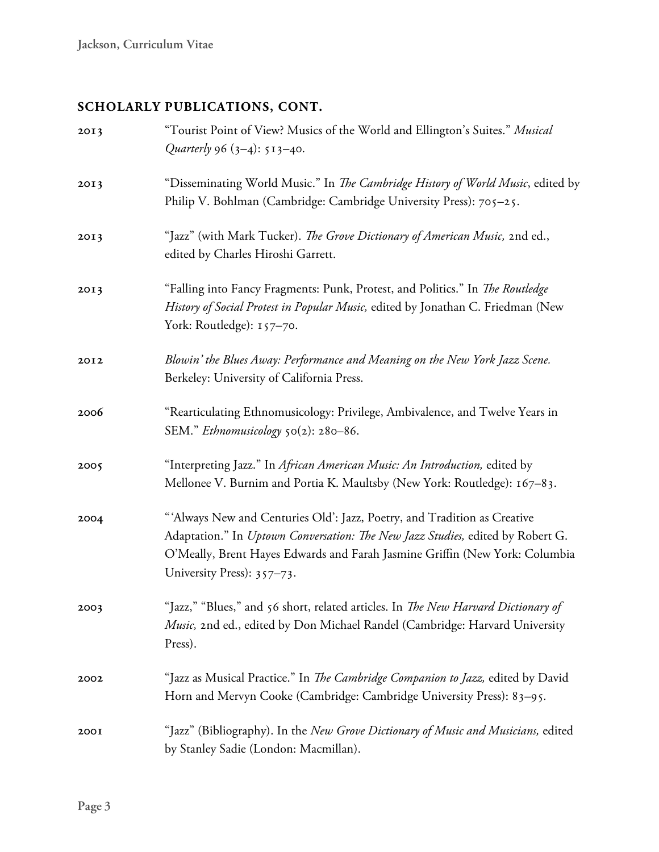# **SCHOLARLY PUBLICATIONS, CONT.**

| 2013 | "Tourist Point of View? Musics of the World and Ellington's Suites." Musical<br>Quarterly 96 $(3-4)$ : 513-40.                                                                                                                                                          |
|------|-------------------------------------------------------------------------------------------------------------------------------------------------------------------------------------------------------------------------------------------------------------------------|
| 2013 | "Disseminating World Music." In The Cambridge History of World Music, edited by<br>Philip V. Bohlman (Cambridge: Cambridge University Press): 705-25.                                                                                                                   |
| 2013 | "Jazz" (with Mark Tucker). The Grove Dictionary of American Music, 2nd ed.,<br>edited by Charles Hiroshi Garrett.                                                                                                                                                       |
| 2013 | "Falling into Fancy Fragments: Punk, Protest, and Politics." In <i>The Routledge</i><br>History of Social Protest in Popular Music, edited by Jonathan C. Friedman (New<br>York: Routledge): 157-70.                                                                    |
| 2012 | Blowin' the Blues Away: Performance and Meaning on the New York Jazz Scene.<br>Berkeley: University of California Press.                                                                                                                                                |
| 2006 | "Rearticulating Ethnomusicology: Privilege, Ambivalence, and Twelve Years in<br>SEM." Ethnomusicology 50(2): 280-86.                                                                                                                                                    |
| 2005 | "Interpreting Jazz." In African American Music: An Introduction, edited by<br>Mellonee V. Burnim and Portia K. Maultsby (New York: Routledge): 167-83.                                                                                                                  |
| 2004 | "'Always New and Centuries Old': Jazz, Poetry, and Tradition as Creative<br>Adaptation." In Uptown Conversation: The New Jazz Studies, edited by Robert G.<br>O'Meally, Brent Hayes Edwards and Farah Jasmine Griffin (New York: Columbia<br>University Press): 357-73. |
| 2003 | "Jazz," "Blues," and 56 short, related articles. In The New Harvard Dictionary of<br>Music, 2nd ed., edited by Don Michael Randel (Cambridge: Harvard University<br>Press).                                                                                             |
| 2002 | "Jazz as Musical Practice." In <i>The Cambridge Companion to Jazz</i> , edited by David<br>Horn and Mervyn Cooke (Cambridge: Cambridge University Press): 83-95.                                                                                                        |
| 200I | "Jazz" (Bibliography). In the New Grove Dictionary of Music and Musicians, edited<br>by Stanley Sadie (London: Macmillan).                                                                                                                                              |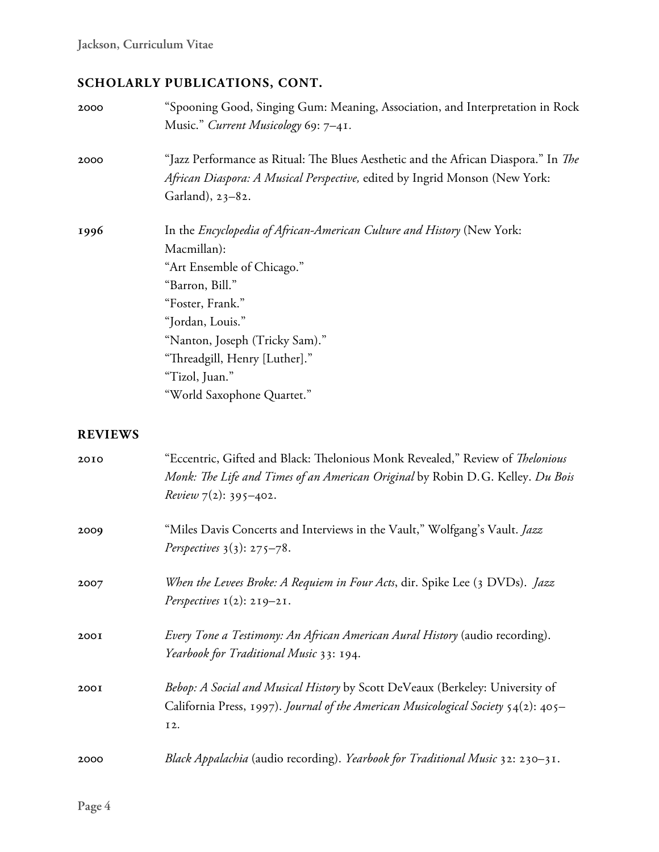# **SCHOLARLY PUBLICATIONS, CONT.**

| 2000           | "Spooning Good, Singing Gum: Meaning, Association, and Interpretation in Rock<br>Music." Current Musicology 69: 7-41.                                                                                                                                                                             |
|----------------|---------------------------------------------------------------------------------------------------------------------------------------------------------------------------------------------------------------------------------------------------------------------------------------------------|
| 2000           | "Jazz Performance as Ritual: The Blues Aesthetic and the African Diaspora." In <i>The</i><br>African Diaspora: A Musical Perspective, edited by Ingrid Monson (New York:<br>Garland), 23-82.                                                                                                      |
| 1996           | In the Encyclopedia of African-American Culture and History (New York:<br>Macmillan):<br>"Art Ensemble of Chicago."<br>"Barron, Bill."<br>"Foster, Frank."<br>"Jordan, Louis."<br>"Nanton, Joseph (Tricky Sam)."<br>"Threadgill, Henry [Luther]."<br>"Tizol, Juan."<br>"World Saxophone Quartet." |
| <b>REVIEWS</b> |                                                                                                                                                                                                                                                                                                   |
| 2010           | "Eccentric, Gifted and Black: Thelonious Monk Revealed," Review of Thelonious<br>Monk: The Life and Times of an American Original by Robin D.G. Kelley. Du Bois<br><i>Review</i> $7(2)$ : 395-402.                                                                                                |
| 2009           | "Miles Davis Concerts and Interviews in the Vault," Wolfgang's Vault. Jazz<br><i>Perspectives</i> $3(3)$ : $275-78$ .                                                                                                                                                                             |
| 2007           | When the Levees Broke: A Requiem in Four Acts, dir. Spike Lee (3 DVDs). Jazz<br>Perspectives $I(2)$ : 219-21.                                                                                                                                                                                     |
| 200I           | Every Tone a Testimony: An African American Aural History (audio recording).<br>Yearbook for Traditional Music 33: 194.                                                                                                                                                                           |
| 200I           | Bebop: A Social and Musical History by Scott DeVeaux (Berkeley: University of<br>California Press, 1997). Journal of the American Musicological Society 54(2): 405-<br>I2.                                                                                                                        |
| 2000           | Black Appalachia (audio recording). Yearbook for Traditional Music 32: 230-31.                                                                                                                                                                                                                    |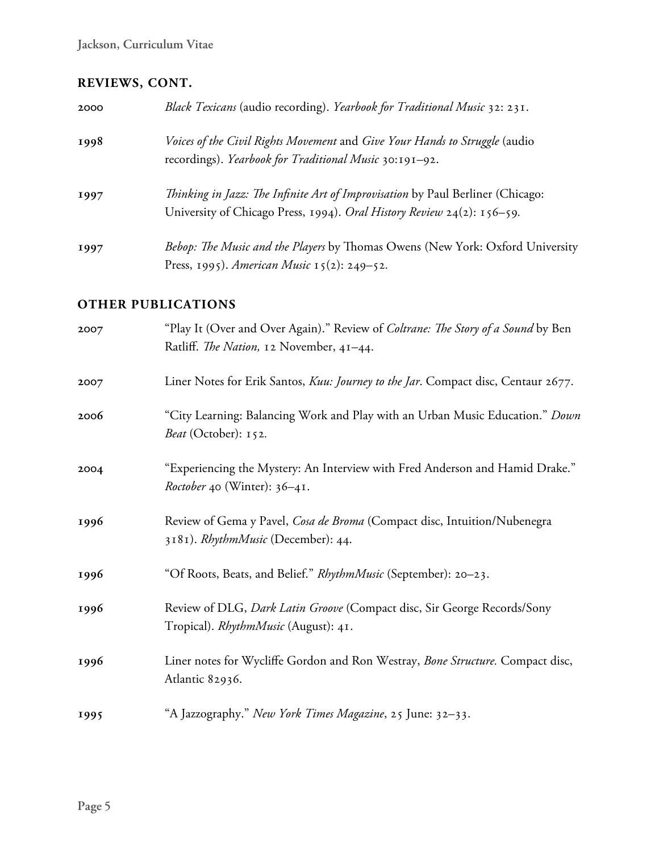## **REVIEWS, CONT.**

| 2000 | Black Texicans (audio recording). Yearbook for Traditional Music 32: 231.                                                                                       |
|------|-----------------------------------------------------------------------------------------------------------------------------------------------------------------|
| 1998 | Voices of the Civil Rights Movement and Give Your Hands to Struggle (audio<br>recordings). Yearbook for Traditional Music 30:191-92.                            |
| 1997 | <i>Thinking in Jazz: The Infinite Art of Improvisation</i> by Paul Berliner (Chicago:<br>University of Chicago Press, 1994). Oral History Review 24(2): 156–59. |
| 1997 | Bebop: The Music and the Players by Thomas Owens (New York: Oxford University<br>Press, 1995). American Music 15(2): 249–52.                                    |

#### **OTHER PUBLICATIONS**

| 2007 | "Play It (Over and Over Again)." Review of Coltrane: The Story of a Sound by Ben<br>Ratliff. The Nation, 12 November, 41-44. |
|------|------------------------------------------------------------------------------------------------------------------------------|
| 2007 | Liner Notes for Erik Santos, Kuu: Journey to the Jar. Compact disc, Centaur 2677.                                            |
| 2006 | "City Learning: Balancing Work and Play with an Urban Music Education." Down<br>Beat (October): 152.                         |
| 2004 | "Experiencing the Mystery: An Interview with Fred Anderson and Hamid Drake."<br>Roctober 40 (Winter): 36-41.                 |
| 1996 | Review of Gema y Pavel, Cosa de Broma (Compact disc, Intuition/Nubenegra<br>3181). RhythmMusic (December): 44.               |
| 1996 | "Of Roots, Beats, and Belief." RhythmMusic (September): 20–23.                                                               |
| 1996 | Review of DLG, Dark Latin Groove (Compact disc, Sir George Records/Sony<br>Tropical). RhythmMusic (August): 41.              |
| 1996 | Liner notes for Wycliffe Gordon and Ron Westray, Bone Structure. Compact disc,<br>Atlantic 82936.                            |
| 1995 | "A Jazzography." New York Times Magazine, 25 June: 32-33.                                                                    |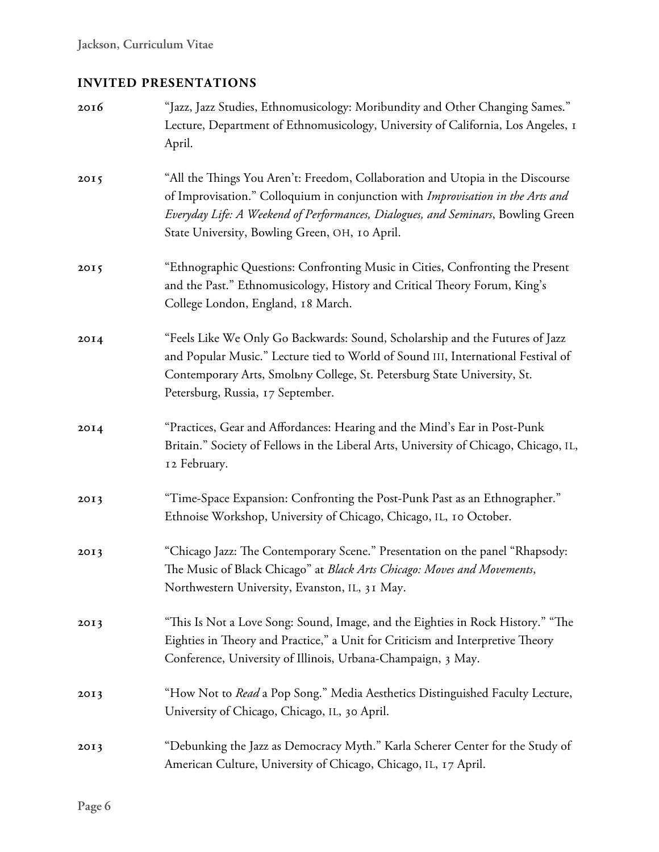## **INVITED PRESENTATIONS**

| 2016 | "Jazz, Jazz Studies, Ethnomusicology: Moribundity and Other Changing Sames."<br>Lecture, Department of Ethnomusicology, University of California, Los Angeles, 1<br>April.                                                                                                                              |
|------|---------------------------------------------------------------------------------------------------------------------------------------------------------------------------------------------------------------------------------------------------------------------------------------------------------|
| 2015 | "All the Things You Aren't: Freedom, Collaboration and Utopia in the Discourse<br>of Improvisation." Colloquium in conjunction with Improvisation in the Arts and<br>Everyday Life: A Weekend of Performances, Dialogues, and Seminars, Bowling Green<br>State University, Bowling Green, OH, 10 April. |
| 2015 | "Ethnographic Questions: Confronting Music in Cities, Confronting the Present<br>and the Past." Ethnomusicology, History and Critical Theory Forum, King's<br>College London, England, 18 March.                                                                                                        |
| 20I4 | "Feels Like We Only Go Backwards: Sound, Scholarship and the Futures of Jazz<br>and Popular Music." Lecture tied to World of Sound III, International Festival of<br>Contemporary Arts, Smolbny College, St. Petersburg State University, St.<br>Petersburg, Russia, 17 September.                      |
| 20I4 | "Practices, Gear and Affordances: Hearing and the Mind's Ear in Post-Punk<br>Britain." Society of Fellows in the Liberal Arts, University of Chicago, Chicago, IL,<br>12 February.                                                                                                                      |
| 2013 | "Time-Space Expansion: Confronting the Post-Punk Past as an Ethnographer."<br>Ethnoise Workshop, University of Chicago, Chicago, IL, 10 October.                                                                                                                                                        |
| 2013 | "Chicago Jazz: The Contemporary Scene." Presentation on the panel "Rhapsody:<br>The Music of Black Chicago" at Black Arts Chicago: Moves and Movements,<br>Northwestern University, Evanston, IL, 31 May.                                                                                               |
| 2013 | "This Is Not a Love Song: Sound, Image, and the Eighties in Rock History." "The<br>Eighties in Theory and Practice," a Unit for Criticism and Interpretive Theory<br>Conference, University of Illinois, Urbana-Champaign, 3 May.                                                                       |
| 2013 | "How Not to Read a Pop Song." Media Aesthetics Distinguished Faculty Lecture,<br>University of Chicago, Chicago, IL, 30 April.                                                                                                                                                                          |
| 2013 | "Debunking the Jazz as Democracy Myth." Karla Scherer Center for the Study of<br>American Culture, University of Chicago, Chicago, IL, 17 April.                                                                                                                                                        |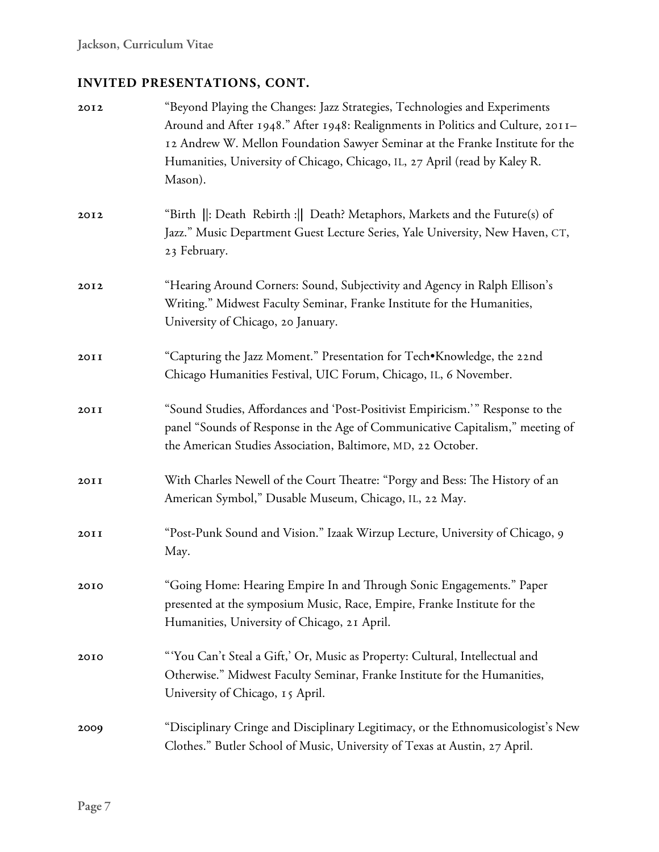| 2012 | "Beyond Playing the Changes: Jazz Strategies, Technologies and Experiments<br>Around and After 1948." After 1948: Realignments in Politics and Culture, 2011-<br>12 Andrew W. Mellon Foundation Sawyer Seminar at the Franke Institute for the<br>Humanities, University of Chicago, Chicago, IL, 27 April (read by Kaley R.<br>Mason). |
|------|-----------------------------------------------------------------------------------------------------------------------------------------------------------------------------------------------------------------------------------------------------------------------------------------------------------------------------------------|
| 2012 | "Birth   : Death Rebirth :   Death? Metaphors, Markets and the Future(s) of<br>Jazz." Music Department Guest Lecture Series, Yale University, New Haven, CT,<br>23 February.                                                                                                                                                            |
| 2012 | "Hearing Around Corners: Sound, Subjectivity and Agency in Ralph Ellison's<br>Writing." Midwest Faculty Seminar, Franke Institute for the Humanities,<br>University of Chicago, 20 January.                                                                                                                                             |
| 20II | "Capturing the Jazz Moment." Presentation for Tech•Knowledge, the 22nd<br>Chicago Humanities Festival, UIC Forum, Chicago, IL, 6 November.                                                                                                                                                                                              |
| 20II | "Sound Studies, Affordances and 'Post-Positivist Empiricism.'" Response to the<br>panel "Sounds of Response in the Age of Communicative Capitalism," meeting of<br>the American Studies Association, Baltimore, MD, 22 October.                                                                                                         |
| 20II | With Charles Newell of the Court Theatre: "Porgy and Bess: The History of an<br>American Symbol," Dusable Museum, Chicago, IL, 22 May.                                                                                                                                                                                                  |
| 20II | "Post-Punk Sound and Vision." Izaak Wirzup Lecture, University of Chicago, 9<br>May.                                                                                                                                                                                                                                                    |
| 2010 | 'Going Home: Hearing Empire In and Through Sonic Engagements." Paper<br>presented at the symposium Music, Race, Empire, Franke Institute for the<br>Humanities, University of Chicago, 21 April.                                                                                                                                        |
| 2010 | "You Can't Steal a Gift,' Or, Music as Property: Cultural, Intellectual and<br>Otherwise." Midwest Faculty Seminar, Franke Institute for the Humanities,<br>University of Chicago, 15 April.                                                                                                                                            |
| 2009 | "Disciplinary Cringe and Disciplinary Legitimacy, or the Ethnomusicologist's New<br>Clothes." Butler School of Music, University of Texas at Austin, 27 April.                                                                                                                                                                          |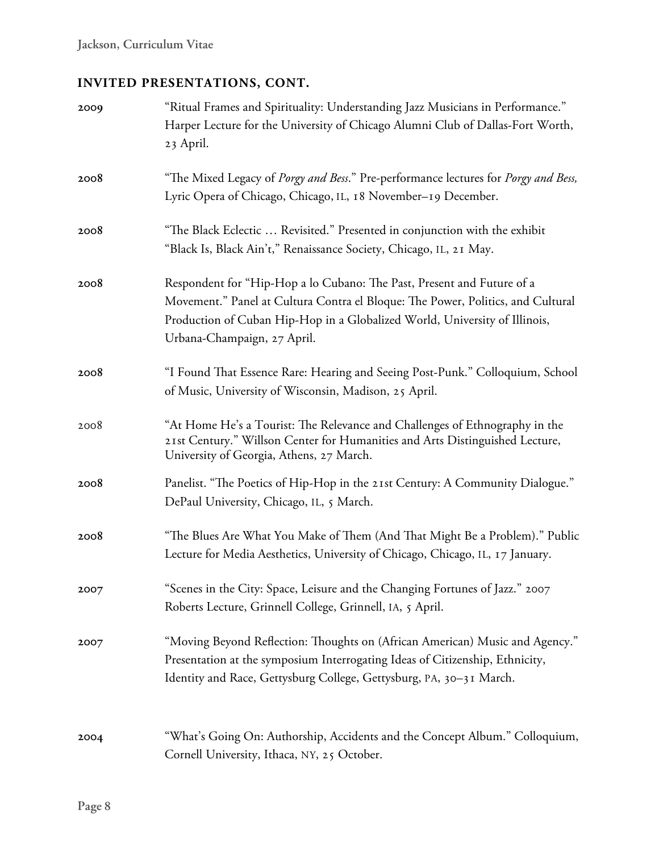| 2009 | "Ritual Frames and Spirituality: Understanding Jazz Musicians in Performance."<br>Harper Lecture for the University of Chicago Alumni Club of Dallas-Fort Worth,<br>23 April.                                                                                          |
|------|------------------------------------------------------------------------------------------------------------------------------------------------------------------------------------------------------------------------------------------------------------------------|
| 2008 | "The Mixed Legacy of Porgy and Bess." Pre-performance lectures for Porgy and Bess,<br>Lyric Opera of Chicago, Chicago, IL, 18 November-19 December.                                                                                                                    |
| 2008 | "The Black Eclectic  Revisited." Presented in conjunction with the exhibit<br>"Black Is, Black Ain't," Renaissance Society, Chicago, IL, 21 May.                                                                                                                       |
| 2008 | Respondent for "Hip-Hop a lo Cubano: The Past, Present and Future of a<br>Movement." Panel at Cultura Contra el Bloque: The Power, Politics, and Cultural<br>Production of Cuban Hip-Hop in a Globalized World, University of Illinois,<br>Urbana-Champaign, 27 April. |
| 2008 | "I Found That Essence Rare: Hearing and Seeing Post-Punk." Colloquium, School<br>of Music, University of Wisconsin, Madison, 25 April.                                                                                                                                 |
| 2008 | "At Home He's a Tourist: The Relevance and Challenges of Ethnography in the<br>21st Century." Willson Center for Humanities and Arts Distinguished Lecture,<br>University of Georgia, Athens, 27 March.                                                                |
| 2008 | Panelist. "The Poetics of Hip-Hop in the 21st Century: A Community Dialogue."<br>DePaul University, Chicago, IL, 5 March.                                                                                                                                              |
| 2008 | "The Blues Are What You Make of Them (And That Might Be a Problem)." Public<br>Lecture for Media Aesthetics, University of Chicago, Chicago, IL, 17 January.                                                                                                           |
| 2007 | "Scenes in the City: Space, Leisure and the Changing Fortunes of Jazz." 2007<br>Roberts Lecture, Grinnell College, Grinnell, IA, 5 April.                                                                                                                              |
| 2007 | "Moving Beyond Reflection: Thoughts on (African American) Music and Agency."<br>Presentation at the symposium Interrogating Ideas of Citizenship, Ethnicity,<br>Identity and Race, Gettysburg College, Gettysburg, PA, 30-31 March.                                    |
| 2004 | "What's Going On: Authorship, Accidents and the Concept Album." Colloquium,<br>Cornell University, Ithaca, NY, 25 October.                                                                                                                                             |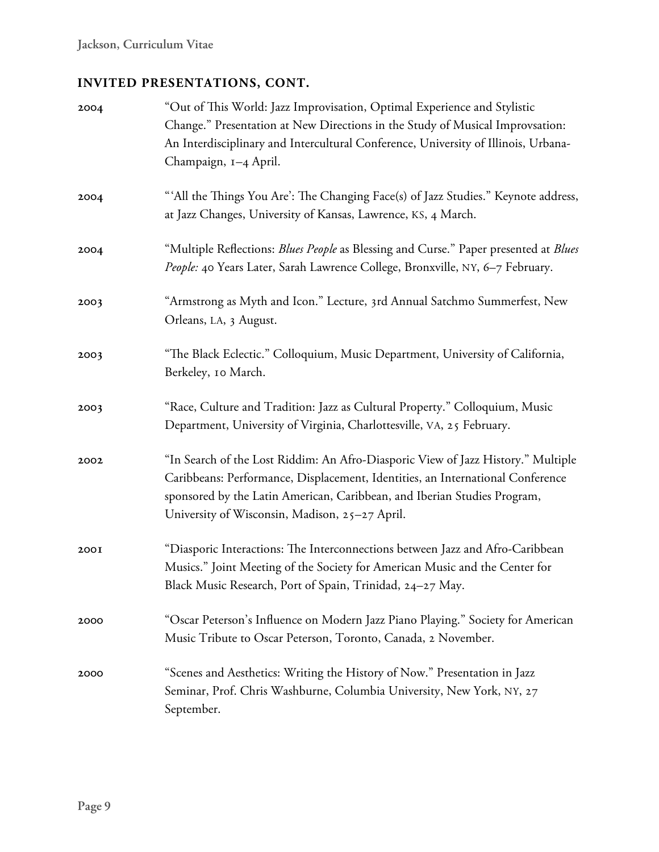| 2004 | "Out of This World: Jazz Improvisation, Optimal Experience and Stylistic<br>Change." Presentation at New Directions in the Study of Musical Improvsation:<br>An Interdisciplinary and Intercultural Conference, University of Illinois, Urbana-<br>Champaign, 1-4 April.                         |
|------|--------------------------------------------------------------------------------------------------------------------------------------------------------------------------------------------------------------------------------------------------------------------------------------------------|
| 2004 | "'All the Things You Are': The Changing Face(s) of Jazz Studies." Keynote address,<br>at Jazz Changes, University of Kansas, Lawrence, KS, 4 March.                                                                                                                                              |
| 2004 | "Multiple Reflections: Blues People as Blessing and Curse." Paper presented at Blues<br>People: 40 Years Later, Sarah Lawrence College, Bronxville, NY, 6-7 February.                                                                                                                            |
| 2003 | "Armstrong as Myth and Icon." Lecture, 3rd Annual Satchmo Summerfest, New<br>Orleans, LA, 3 August.                                                                                                                                                                                              |
| 2003 | "The Black Eclectic." Colloquium, Music Department, University of California,<br>Berkeley, 10 March.                                                                                                                                                                                             |
| 2003 | "Race, Culture and Tradition: Jazz as Cultural Property." Colloquium, Music<br>Department, University of Virginia, Charlottesville, VA, 25 February.                                                                                                                                             |
| 2002 | "In Search of the Lost Riddim: An Afro-Diasporic View of Jazz History." Multiple<br>Caribbeans: Performance, Displacement, Identities, an International Conference<br>sponsored by the Latin American, Caribbean, and Iberian Studies Program,<br>University of Wisconsin, Madison, 25-27 April. |
| 200I | "Diasporic Interactions: The Interconnections between Jazz and Afro-Caribbean<br>Musics." Joint Meeting of the Society for American Music and the Center for<br>Black Music Research, Port of Spain, Trinidad, 24–27 May.                                                                        |
| 2000 | "Oscar Peterson's Influence on Modern Jazz Piano Playing." Society for American<br>Music Tribute to Oscar Peterson, Toronto, Canada, 2 November.                                                                                                                                                 |
| 2000 | "Scenes and Aesthetics: Writing the History of Now." Presentation in Jazz<br>Seminar, Prof. Chris Washburne, Columbia University, New York, NY, 27<br>September.                                                                                                                                 |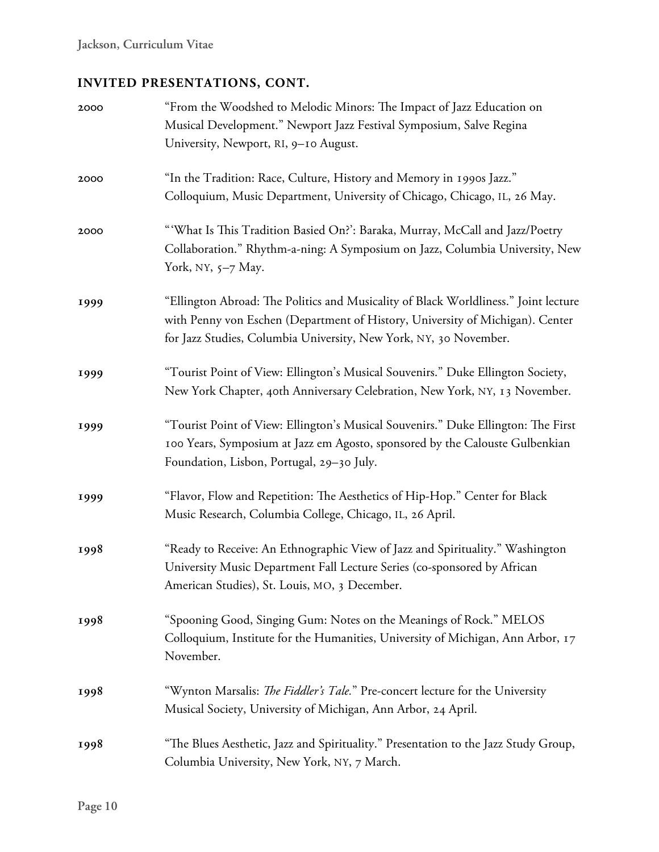| 2000 | "From the Woodshed to Melodic Minors: The Impact of Jazz Education on<br>Musical Development." Newport Jazz Festival Symposium, Salve Regina<br>University, Newport, RI, 9-10 August.                                                     |
|------|-------------------------------------------------------------------------------------------------------------------------------------------------------------------------------------------------------------------------------------------|
| 2000 | "In the Tradition: Race, Culture, History and Memory in 1990s Jazz."<br>Colloquium, Music Department, University of Chicago, Chicago, IL, 26 May.                                                                                         |
| 2000 | "'What Is This Tradition Basied On?': Baraka, Murray, McCall and Jazz/Poetry<br>Collaboration." Rhythm-a-ning: A Symposium on Jazz, Columbia University, New<br>York, NY, 5-7 May.                                                        |
| 1999 | "Ellington Abroad: The Politics and Musicality of Black Worldliness." Joint lecture<br>with Penny von Eschen (Department of History, University of Michigan). Center<br>for Jazz Studies, Columbia University, New York, NY, 30 November. |
| 1999 | "Tourist Point of View: Ellington's Musical Souvenirs." Duke Ellington Society,<br>New York Chapter, 40th Anniversary Celebration, New York, NY, 13 November.                                                                             |
| 1999 | "Tourist Point of View: Ellington's Musical Souvenirs." Duke Ellington: The First<br>100 Years, Symposium at Jazz em Agosto, sponsored by the Calouste Gulbenkian<br>Foundation, Lisbon, Portugal, 29-30 July.                            |
| 1999 | "Flavor, Flow and Repetition: The Aesthetics of Hip-Hop." Center for Black<br>Music Research, Columbia College, Chicago, IL, 26 April.                                                                                                    |
| 1998 | "Ready to Receive: An Ethnographic View of Jazz and Spirituality." Washington<br>University Music Department Fall Lecture Series (co-sponsored by African<br>American Studies), St. Louis, MO, 3 December.                                |
| 1998 | "Spooning Good, Singing Gum: Notes on the Meanings of Rock." MELOS<br>Colloquium, Institute for the Humanities, University of Michigan, Ann Arbor, 17<br>November.                                                                        |
| 1998 | "Wynton Marsalis: The Fiddler's Tale." Pre-concert lecture for the University<br>Musical Society, University of Michigan, Ann Arbor, 24 April.                                                                                            |
| 1998 | "The Blues Aesthetic, Jazz and Spirituality." Presentation to the Jazz Study Group,<br>Columbia University, New York, NY, 7 March.                                                                                                        |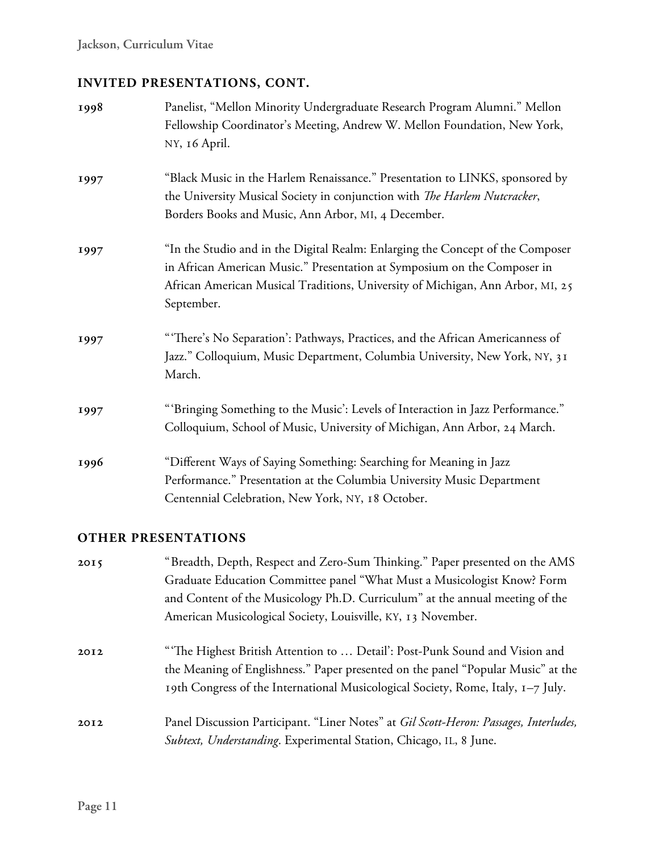| 1998 | Panelist, "Mellon Minority Undergraduate Research Program Alumni." Mellon<br>Fellowship Coordinator's Meeting, Andrew W. Mellon Foundation, New York,<br>NY, 16 April.                                                                                     |
|------|------------------------------------------------------------------------------------------------------------------------------------------------------------------------------------------------------------------------------------------------------------|
| 1997 | "Black Music in the Harlem Renaissance." Presentation to LINKS, sponsored by<br>the University Musical Society in conjunction with The Harlem Nutcracker,<br>Borders Books and Music, Ann Arbor, MI, 4 December.                                           |
| 1997 | "In the Studio and in the Digital Realm: Enlarging the Concept of the Composer<br>in African American Music." Presentation at Symposium on the Composer in<br>African American Musical Traditions, University of Michigan, Ann Arbor, MI, 25<br>September. |
| 1997 | "There's No Separation': Pathways, Practices, and the African Americanness of<br>Jazz." Colloquium, Music Department, Columbia University, New York, NY, 31<br>March.                                                                                      |
| 1997 | "'Bringing Something to the Music': Levels of Interaction in Jazz Performance."<br>Colloquium, School of Music, University of Michigan, Ann Arbor, 24 March.                                                                                               |
| 1996 | "Different Ways of Saying Something: Searching for Meaning in Jazz<br>Performance." Presentation at the Columbia University Music Department<br>Centennial Celebration, New York, NY, 18 October.                                                          |

#### **OTHER PRESENTATIONS**

| 2015 | "Breadth, Depth, Respect and Zero-Sum Thinking." Paper presented on the AMS<br>Graduate Education Committee panel "What Must a Musicologist Know? Form<br>and Content of the Musicology Ph.D. Curriculum" at the annual meeting of the<br>American Musicological Society, Louisville, KY, 13 November. |
|------|--------------------------------------------------------------------------------------------------------------------------------------------------------------------------------------------------------------------------------------------------------------------------------------------------------|
| 2012 | "The Highest British Attention to  Detail': Post-Punk Sound and Vision and<br>the Meaning of Englishness." Paper presented on the panel "Popular Music" at the<br>19th Congress of the International Musicological Society, Rome, Italy, 1–7 July.                                                     |
| 2012 | Panel Discussion Participant. "Liner Notes" at Gil Scott-Heron: Passages, Interludes,<br>Subtext, Understanding. Experimental Station, Chicago, IL, 8 June.                                                                                                                                            |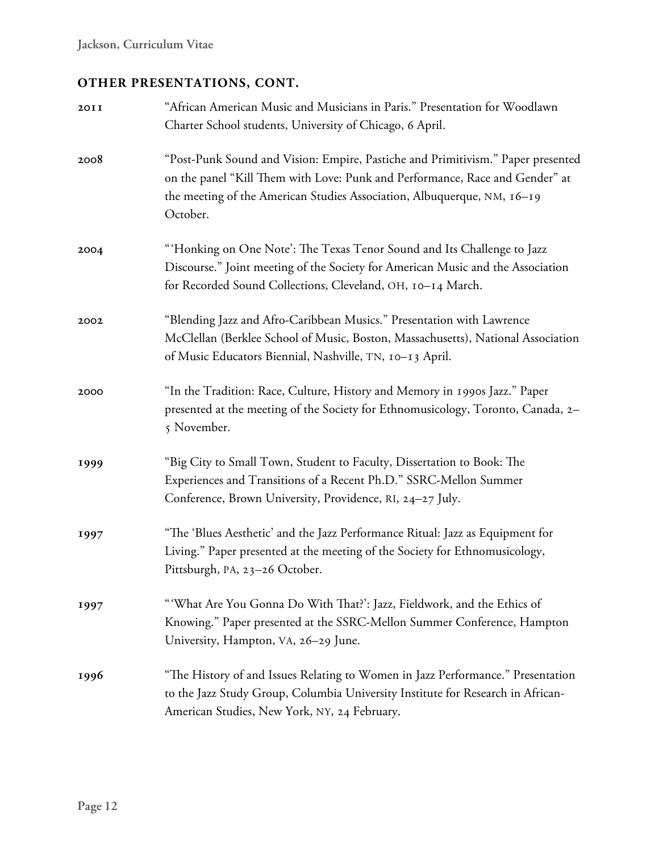## **OTHER PRESENTATIONS, CONT.**

| 20II | "African American Music and Musicians in Paris." Presentation for Woodlawn<br>Charter School students, University of Chicago, 6 April.                                                                                                                 |
|------|--------------------------------------------------------------------------------------------------------------------------------------------------------------------------------------------------------------------------------------------------------|
| 2008 | "Post-Punk Sound and Vision: Empire, Pastiche and Primitivism." Paper presented<br>on the panel "Kill Them with Love: Punk and Performance, Race and Gender" at<br>the meeting of the American Studies Association, Albuquerque, NM, 16-19<br>October. |
| 2004 | "'Honking on One Note': The Texas Tenor Sound and Its Challenge to Jazz<br>Discourse." Joint meeting of the Society for American Music and the Association<br>for Recorded Sound Collections, Cleveland, OH, 10-14 March.                              |
| 2002 | "Blending Jazz and Afro-Caribbean Musics." Presentation with Lawrence<br>McClellan (Berklee School of Music, Boston, Massachusetts), National Association<br>of Music Educators Biennial, Nashville, TN, 10-13 April.                                  |
| 2000 | "In the Tradition: Race, Culture, History and Memory in 1990s Jazz." Paper<br>presented at the meeting of the Society for Ethnomusicology, Toronto, Canada, 2-<br>5 November.                                                                          |
| 1999 | "Big City to Small Town, Student to Faculty, Dissertation to Book: The<br>Experiences and Transitions of a Recent Ph.D." SSRC-Mellon Summer<br>Conference, Brown University, Providence, RI, 24-27 July.                                               |
| 1997 | "The 'Blues Aesthetic' and the Jazz Performance Ritual: Jazz as Equipment for<br>Living." Paper presented at the meeting of the Society for Ethnomusicology,<br>Pittsburgh, PA, 23-26 October.                                                         |
| 1997 | "'What Are You Gonna Do With That?': Jazz, Fieldwork, and the Ethics of<br>Knowing." Paper presented at the SSRC-Mellon Summer Conference, Hampton<br>University, Hampton, VA, 26-29 June.                                                             |
| 1996 | "The History of and Issues Relating to Women in Jazz Performance." Presentation<br>to the Jazz Study Group, Columbia University Institute for Research in African-<br>American Studies, New York, NY, 24 February.                                     |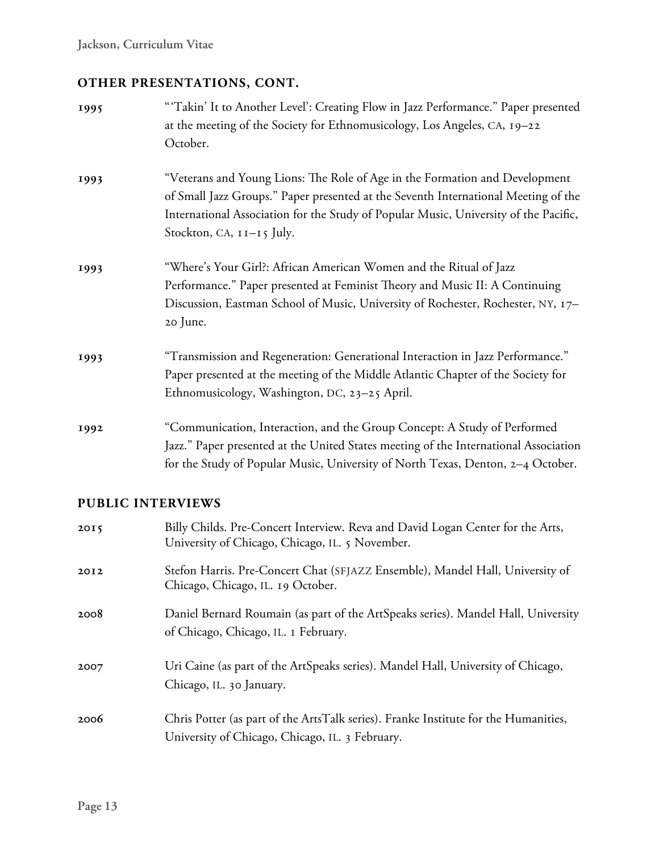## **OTHER PRESENTATIONS, CONT.**

| 1995 | "Takin' It to Another Level': Creating Flow in Jazz Performance." Paper presented<br>at the meeting of the Society for Ethnomusicology, Los Angeles, CA, 19-22<br>October.                                                                                                                 |
|------|--------------------------------------------------------------------------------------------------------------------------------------------------------------------------------------------------------------------------------------------------------------------------------------------|
| 1993 | "Veterans and Young Lions: The Role of Age in the Formation and Development<br>of Small Jazz Groups." Paper presented at the Seventh International Meeting of the<br>International Association for the Study of Popular Music, University of the Pacific,<br>Stockton, CA, $11 - 15$ July. |
| 1993 | "Where's Your Girl?: African American Women and the Ritual of Jazz<br>Performance." Paper presented at Feminist Theory and Music II: A Continuing<br>Discussion, Eastman School of Music, University of Rochester, Rochester, NY, 17-<br>20 June.                                          |
| 1993 | "Transmission and Regeneration: Generational Interaction in Jazz Performance."<br>Paper presented at the meeting of the Middle Atlantic Chapter of the Society for<br>Ethnomusicology, Washington, DC, 23-25 April.                                                                        |
| 1992 | "Communication, Interaction, and the Group Concept: A Study of Performed<br>Jazz." Paper presented at the United States meeting of the International Association<br>for the Study of Popular Music, University of North Texas, Denton, 2-4 October.                                        |

### **PUBLIC INTERVIEWS**

| 2015 | Billy Childs. Pre-Concert Interview. Reva and David Logan Center for the Arts,<br>University of Chicago, Chicago, IL. 5 November.      |
|------|----------------------------------------------------------------------------------------------------------------------------------------|
| 2012 | Stefon Harris. Pre-Concert Chat (SFJAZZ Ensemble), Mandel Hall, University of<br>Chicago, Chicago, IL. 19 October.                     |
| 2008 | Daniel Bernard Roumain (as part of the ArtSpeaks series). Mandel Hall, University<br>of Chicago, Chicago, IL. I February.              |
| 2007 | Uri Caine (as part of the ArtSpeaks series). Mandel Hall, University of Chicago,<br>Chicago, IL. 30 January.                           |
| 2006 | Chris Potter (as part of the ArtsTalk series). Franke Institute for the Humanities,<br>University of Chicago, Chicago, IL. 3 February. |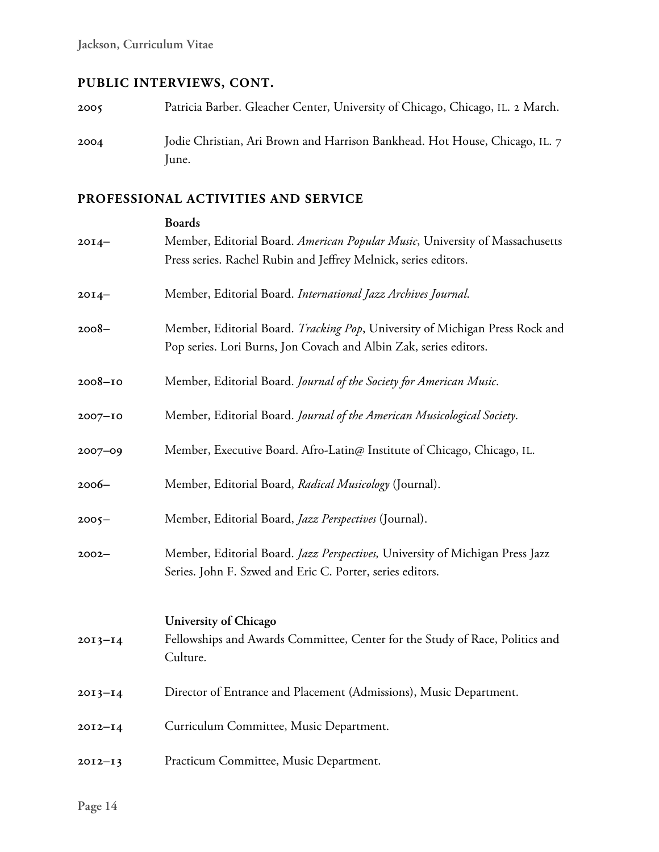# **PUBLIC INTERVIEWS, CONT.**

| 2005 | Patricia Barber. Gleacher Center, University of Chicago, Chicago, IL. 2 March. |
|------|--------------------------------------------------------------------------------|
| 2004 | Jodie Christian, Ari Brown and Harrison Bankhead. Hot House, Chicago, IL. 7    |
|      | lune.                                                                          |

|             | <b>Boards</b>                                                                                                                                     |
|-------------|---------------------------------------------------------------------------------------------------------------------------------------------------|
| $20I4 -$    | Member, Editorial Board. American Popular Music, University of Massachusetts<br>Press series. Rachel Rubin and Jeffrey Melnick, series editors.   |
| $20I4 -$    | Member, Editorial Board. International Jazz Archives Journal.                                                                                     |
| $2008 -$    | Member, Editorial Board. Tracking Pop, University of Michigan Press Rock and<br>Pop series. Lori Burns, Jon Covach and Albin Zak, series editors. |
| $2008 - 10$ | Member, Editorial Board. Journal of the Society for American Music.                                                                               |
| $2007 - 10$ | Member, Editorial Board. Journal of the American Musicological Society.                                                                           |
| $2007 - 09$ | Member, Executive Board. Afro-Latin@ Institute of Chicago, Chicago, IL.                                                                           |
| $2006 -$    | Member, Editorial Board, Radical Musicology (Journal).                                                                                            |
| $2005 -$    | Member, Editorial Board, Jazz Perspectives (Journal).                                                                                             |
| $2002 -$    | Member, Editorial Board. Jazz Perspectives, University of Michigan Press Jazz<br>Series. John F. Szwed and Eric C. Porter, series editors.        |
| $2013 - 14$ | University of Chicago<br>Fellowships and Awards Committee, Center for the Study of Race, Politics and<br>Culture.                                 |
| $2013 - 14$ | Director of Entrance and Placement (Admissions), Music Department.                                                                                |
| $2012 - 14$ | Curriculum Committee, Music Department.                                                                                                           |
| $2012 - 13$ | Practicum Committee, Music Department.                                                                                                            |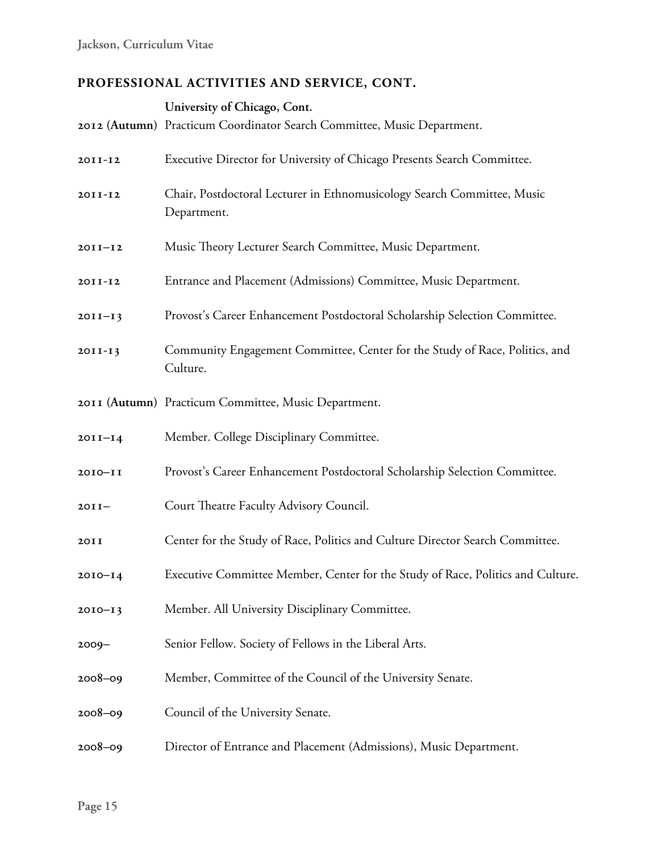|             | University of Chicago, Cont.<br>2012 (Autumn) Practicum Coordinator Search Committee, Music Department. |
|-------------|---------------------------------------------------------------------------------------------------------|
| 2011-12     | Executive Director for University of Chicago Presents Search Committee.                                 |
| 2011-12     | Chair, Postdoctoral Lecturer in Ethnomusicology Search Committee, Music<br>Department.                  |
| $2011 - 12$ | Music Theory Lecturer Search Committee, Music Department.                                               |
| 2011-12     | Entrance and Placement (Admissions) Committee, Music Department.                                        |
| $2011 - 13$ | Provost's Career Enhancement Postdoctoral Scholarship Selection Committee.                              |
| $2011 - 13$ | Community Engagement Committee, Center for the Study of Race, Politics, and<br>Culture.                 |
|             | 2011 (Autumn) Practicum Committee, Music Department.                                                    |
| $2011 - 14$ | Member. College Disciplinary Committee.                                                                 |
| $2010 - 11$ | Provost's Career Enhancement Postdoctoral Scholarship Selection Committee.                              |
| $20II-$     | Court Theatre Faculty Advisory Council.                                                                 |
| 20II        | Center for the Study of Race, Politics and Culture Director Search Committee.                           |
| $20I0 - I4$ | Executive Committee Member, Center for the Study of Race, Politics and Culture.                         |
| $2010 - 13$ | Member. All University Disciplinary Committee.                                                          |
| $2009 -$    | Senior Fellow. Society of Fellows in the Liberal Arts.                                                  |
| $2008 - 09$ | Member, Committee of the Council of the University Senate.                                              |
| $2008 - 09$ | Council of the University Senate.                                                                       |
| $2008 - 09$ | Director of Entrance and Placement (Admissions), Music Department.                                      |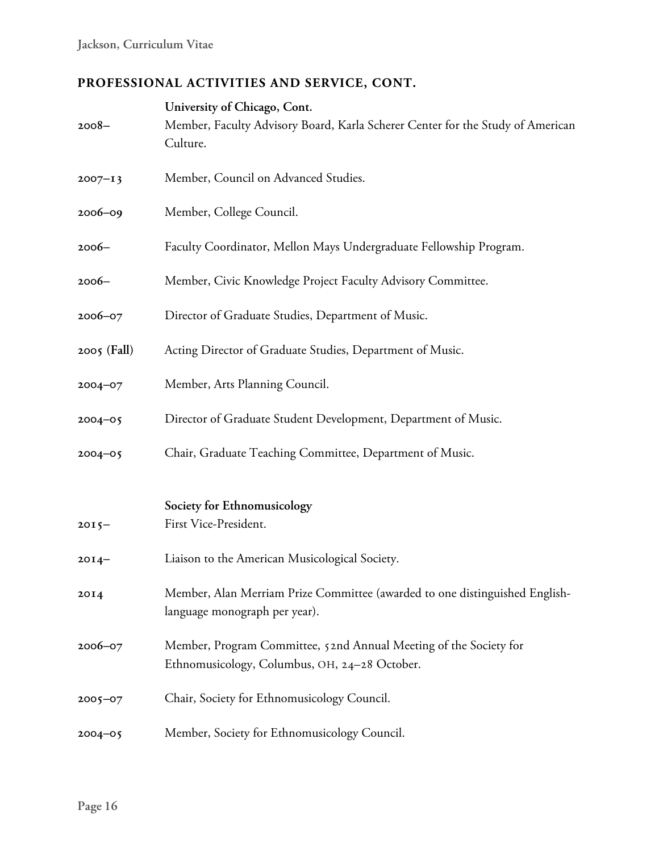| $2008 -$      | University of Chicago, Cont.<br>Member, Faculty Advisory Board, Karla Scherer Center for the Study of American<br>Culture. |
|---------------|----------------------------------------------------------------------------------------------------------------------------|
| $2007 - 13$   | Member, Council on Advanced Studies.                                                                                       |
| $2006 - 09$   | Member, College Council.                                                                                                   |
| $2006-$       | Faculty Coordinator, Mellon Mays Undergraduate Fellowship Program.                                                         |
| $2006-$       | Member, Civic Knowledge Project Faculty Advisory Committee.                                                                |
| $2006 - 07$   | Director of Graduate Studies, Department of Music.                                                                         |
| $2005$ (Fall) | Acting Director of Graduate Studies, Department of Music.                                                                  |
| $2004 - 07$   | Member, Arts Planning Council.                                                                                             |
| $2004 - 05$   | Director of Graduate Student Development, Department of Music.                                                             |
| $2004 - 05$   | Chair, Graduate Teaching Committee, Department of Music.                                                                   |
| $2015 -$      | Society for Ethnomusicology<br>First Vice-President.                                                                       |
| $20I4-$       | Liaison to the American Musicological Society.                                                                             |
| 20I4          | Member, Alan Merriam Prize Committee (awarded to one distinguished English-<br>language monograph per year).               |
| 2006-07       | Member, Program Committee, 52nd Annual Meeting of the Society for<br>Ethnomusicology, Columbus, OH, 24-28 October.         |
| $2005 - 07$   | Chair, Society for Ethnomusicology Council.                                                                                |
| $2004 - 05$   | Member, Society for Ethnomusicology Council.                                                                               |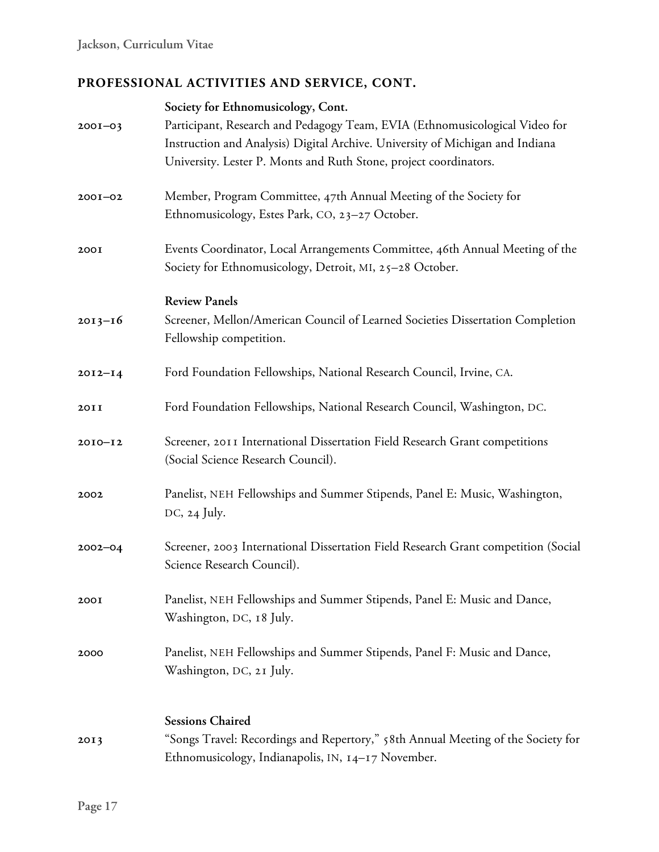|             | Society for Ethnomusicology, Cont.                                                                                                                           |
|-------------|--------------------------------------------------------------------------------------------------------------------------------------------------------------|
| $2001 - 03$ | Participant, Research and Pedagogy Team, EVIA (Ethnomusicological Video for<br>Instruction and Analysis) Digital Archive. University of Michigan and Indiana |
|             | University. Lester P. Monts and Ruth Stone, project coordinators.                                                                                            |
| $200I - 02$ | Member, Program Committee, 47th Annual Meeting of the Society for<br>Ethnomusicology, Estes Park, CO, 23-27 October.                                         |
| 200I        | Events Coordinator, Local Arrangements Committee, 46th Annual Meeting of the<br>Society for Ethnomusicology, Detroit, MI, 25-28 October.                     |
|             | <b>Review Panels</b>                                                                                                                                         |
| $2013 - 16$ | Screener, Mellon/American Council of Learned Societies Dissertation Completion<br>Fellowship competition.                                                    |
| $2012 - 14$ | Ford Foundation Fellowships, National Research Council, Irvine, CA.                                                                                          |
| 20II        | Ford Foundation Fellowships, National Research Council, Washington, DC.                                                                                      |
| $2010 - 12$ | Screener, 2011 International Dissertation Field Research Grant competitions<br>(Social Science Research Council).                                            |
| 2002        | Panelist, NEH Fellowships and Summer Stipends, Panel E: Music, Washington,<br>$DC, 24$ July.                                                                 |
| $2002 - 04$ | Screener, 2003 International Dissertation Field Research Grant competition (Social<br>Science Research Council).                                             |
| 200I        | Panelist, NEH Fellowships and Summer Stipends, Panel E: Music and Dance,<br>Washington, DC, 18 July.                                                         |
| 2000        | Panelist, NEH Fellowships and Summer Stipends, Panel F: Music and Dance,<br>Washington, DC, 21 July.                                                         |
|             | <b>Sessions Chaired</b>                                                                                                                                      |
| 2013        | "Songs Travel: Recordings and Repertory," 58th Annual Meeting of the Society for<br>Ethnomusicology, Indianapolis, IN, 14-17 November.                       |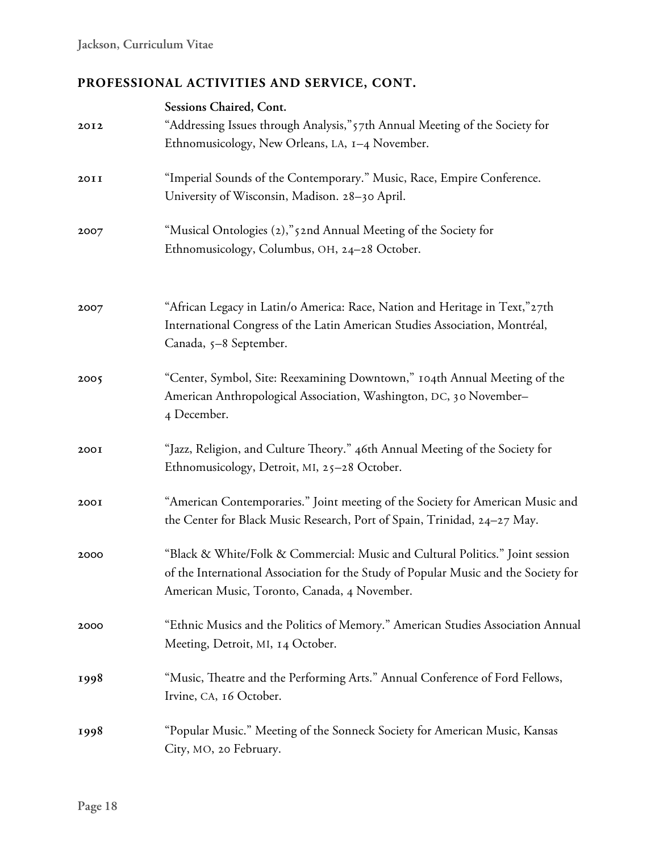| 2012 | Sessions Chaired, Cont.<br>"Addressing Issues through Analysis," 57th Annual Meeting of the Society for<br>Ethnomusicology, New Orleans, LA, 1-4 November.                                                           |
|------|----------------------------------------------------------------------------------------------------------------------------------------------------------------------------------------------------------------------|
| 20II | "Imperial Sounds of the Contemporary." Music, Race, Empire Conference.<br>University of Wisconsin, Madison. 28-30 April.                                                                                             |
| 2007 | "Musical Ontologies (2),"5 2nd Annual Meeting of the Society for<br>Ethnomusicology, Columbus, OH, 24-28 October.                                                                                                    |
| 2007 | "African Legacy in Latin/o America: Race, Nation and Heritage in Text,"27th<br>International Congress of the Latin American Studies Association, Montréal,<br>Canada, 5-8 September.                                 |
| 2005 | "Center, Symbol, Site: Reexamining Downtown," 104th Annual Meeting of the<br>American Anthropological Association, Washington, DC, 30 November-<br>4 December.                                                       |
| 200I | "Jazz, Religion, and Culture Theory." 46th Annual Meeting of the Society for<br>Ethnomusicology, Detroit, MI, 25-28 October.                                                                                         |
| 200I | "American Contemporaries." Joint meeting of the Society for American Music and<br>the Center for Black Music Research, Port of Spain, Trinidad, 24-27 May.                                                           |
| 2000 | "Black & White/Folk & Commercial: Music and Cultural Politics." Joint session<br>of the International Association for the Study of Popular Music and the Society for<br>American Music, Toronto, Canada, 4 November. |
| 2000 | "Ethnic Musics and the Politics of Memory." American Studies Association Annual<br>Meeting, Detroit, MI, 14 October.                                                                                                 |
| 1998 | "Music, Theatre and the Performing Arts." Annual Conference of Ford Fellows,<br>Irvine, CA, 16 October.                                                                                                              |
| 1998 | "Popular Music." Meeting of the Sonneck Society for American Music, Kansas<br>City, MO, 20 February.                                                                                                                 |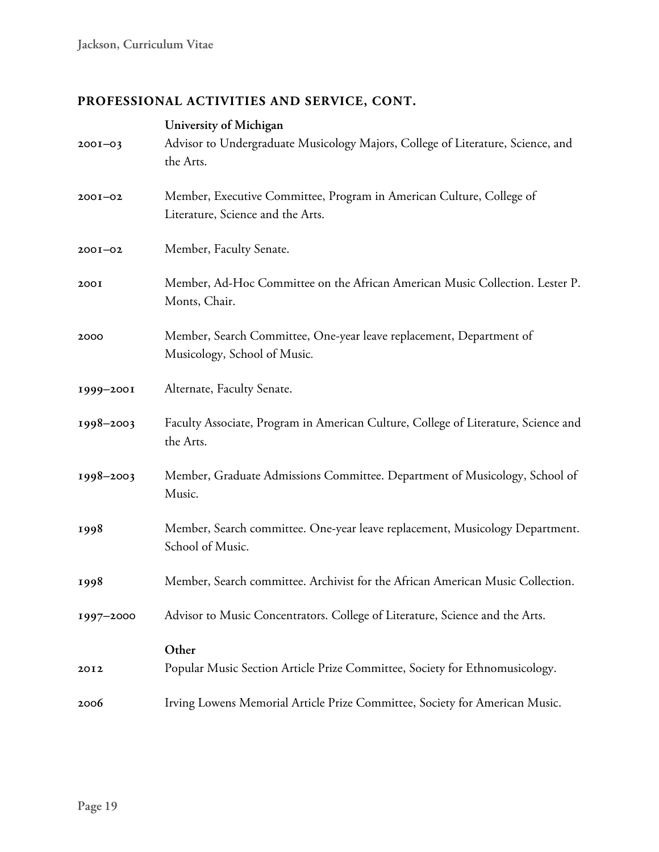| $2001 - 03$ | University of Michigan<br>Advisor to Undergraduate Musicology Majors, College of Literature, Science, and |
|-------------|-----------------------------------------------------------------------------------------------------------|
|             | the Arts.                                                                                                 |
| $200I - 02$ | Member, Executive Committee, Program in American Culture, College of<br>Literature, Science and the Arts. |
| $200I - 02$ | Member, Faculty Senate.                                                                                   |
| 200I        | Member, Ad-Hoc Committee on the African American Music Collection. Lester P.<br>Monts, Chair.             |
| 2000        | Member, Search Committee, One-year leave replacement, Department of<br>Musicology, School of Music.       |
| 1999-2001   | Alternate, Faculty Senate.                                                                                |
| 1998-2003   | Faculty Associate, Program in American Culture, College of Literature, Science and<br>the Arts.           |
| 1998-2003   | Member, Graduate Admissions Committee. Department of Musicology, School of<br>Music.                      |
| 1998        | Member, Search committee. One-year leave replacement, Musicology Department.<br>School of Music.          |
| 1998        | Member, Search committee. Archivist for the African American Music Collection.                            |
| 1997-2000   | Advisor to Music Concentrators. College of Literature, Science and the Arts.                              |
| 2012        | Other<br>Popular Music Section Article Prize Committee, Society for Ethnomusicology.                      |
| 2006        | Irving Lowens Memorial Article Prize Committee, Society for American Music.                               |